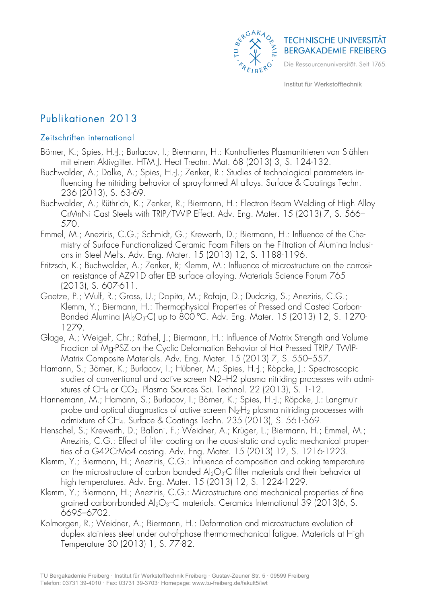

# Publikationen 2013

## Zeitschriften international

- Börner, K.; Spies, H.-J.; Burlacov, I.; Biermann, H.: Kontrolliertes Plasmanitrieren von Stählen mit einem Aktivgitter. HTM J. Heat Treatm. Mat. 68 (2013) 3, S. 124-132.
- Buchwalder, A.; Dalke, A.; Spies, H.-J.; Zenker, R.: Studies of technological parameters influencing the nitriding behavior of spray-formed Al alloys. Surface & Coatings Techn. 236 (2013), S. 63-69.
- Buchwalder, A.; Rüthrich, K.; Zenker, R.; Biermann, H.: Electron Beam Welding of High Alloy CrMnNi Cast Steels with TRIP/TWIP Effect. Adv. Eng. Mater. 15 (2013) 7, S. 566– 570.
- Emmel, M.; Aneziris, C.G.; Schmidt, G.; Krewerth, D.; Biermann, H.: Influence of the Chemistry of Surface Functionalized Ceramic Foam Filters on the Filtration of Alumina Inclusions in Steel Melts. Adv. Eng. Mater. 15 (2013) 12, S. 1188-1196.
- Fritzsch, K.; Buchwalder, A.; Zenker, R; Klemm, M.: Influence of microstructure on the corrosion resistance of AZ91D after EB surface alloying. Materials Science Forum 765 (2013), S. 607-611.
- Goetze, P.; Wulf, R.; Gross, U.; Dopita, M.; Rafaja, D.; Dudczig, S.; Aneziris, C.G.; Klemm, Y.; Biermann, H.: Thermophysical Properties of Pressed and Casted Carbon-Bonded Alumina  $\text{(Al}_2\text{O}_3\text{-C)}$  up to 800 °C. Adv. Eng. Mater. 15 (2013) 12, S. 1270-1279.
- Glage, A.; Weigelt, Chr.; Räthel, J.; Biermann, H.: Influence of Matrix Strength and Volume Fraction of Mg-PSZ on the Cyclic Deformation Behavior of Hot Pressed TRIP/ TWIP-Matrix Composite Materials. Adv. Eng. Mater. 15 (2013) 7, S. 550–557.
- Hamann, S.; Börner, K.; Burlacov, I.; Hübner, M.; Spies, H.-J.; Röpcke, J.: Spectroscopic studies of conventional and active screen N2–H2 plasma nitriding processes with admixtures of CH<sub>4</sub> or CO<sub>2</sub>. Plasma Sources Sci. Technol. 22 (2013), S. 1-12.
- Hannemann, M.; Hamann, S.; Burlacov, I.; Börner, K.; Spies, H.-J.; Röpcke, J.: Langmuir probe and optical diagnostics of active screen  $N_2$ -H<sub>2</sub> plasma nitriding processes with admixture of CH4. Surface & Coatings Techn. 235 (2013), S. 561-569.
- Henschel, S.; Krewerth, D.; Ballani, F.; Weidner, A.; Krüger, L.; Biermann, H.; Emmel, M.; Aneziris, C.G.: Effect of filter coating on the quasi-static and cyclic mechanical properties of a G42CrMo4 casting. Adv. Eng. Mater. 15 (2013) 12, S. 1216-1223.
- Klemm, Y.; Biermann, H.; Aneziris, C.G.: Influence of composition and coking temperature on the microstructure of carbon bonded  $Al_2O_3-C$  filter materials and their behavior at high temperatures. Adv. Eng. Mater. 15 (2013) 12, S. 1224-1229.
- Klemm, Y.; Biermann, H.; Aneziris, C.G.: Microstructure and mechanical properties of fine grained carbon-bonded  $Al_2O_3$ –C materials. Ceramics International 39 (2013)6, S. 6695–6702.
- Kolmorgen, R.; Weidner, A.; Biermann, H.: Deformation and microstructure evolution of duplex stainless steel under out-of-phase thermo-mechanical fatigue. Materials at High Temperature 30 (2013) 1, S. 77-82.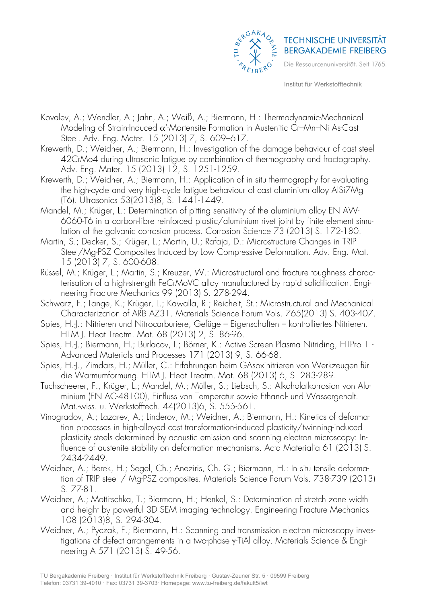

- Kovalev, A.; Wendler, A.; Jahn, A.; Weiß, A.; Biermann, H.: Thermodynamic-Mechanical Modeling of Strain-Induced  $\alpha'$ -Martensite Formation in Austenitic Cr–Mn–Ni As-Cast Steel. Adv. Eng. Mater. 15 (2013) 7, S. 609–617.
- Krewerth, D.; Weidner, A.; Biermann, H.: Investigation of the damage behaviour of cast steel 42CrMo4 during ultrasonic fatigue by combination of thermography and fractography. Adv. Eng. Mater. 15 (2013) 12, S. 1251-1259.
- Krewerth, D.; Weidner, A.; Biermann, H.: Application of in situ thermography for evaluating the high-cycle and very high-cycle fatigue behaviour of cast aluminium alloy AlSi7Mg (T6). Ultrasonics 53(2013)8, S. 1441-1449.
- Mandel, M.; Krüger, L.: Determination of pitting sensitivity of the aluminium alloy EN AW-6060-T6 in a carbon-fibre reinforced plastic/aluminium rivet joint by finite element simulation of the galvanic corrosion process. Corrosion Science 73 (2013) S. 172-180.
- Martin, S.; Decker, S.; Krüger, L.; Martin, U.; Rafaja, D.: Microstructure Changes in TRIP Steel/Mg-PSZ Composites Induced by Low Compressive Deformation. Adv. Eng. Mat. 15 (2013) 7, S. 600-608.
- Rüssel, M.; Krüger, L.; Martin, S.; Kreuzer, W.: Microstructural and fracture toughness characterisation of a high-strength FeCrMoVC alloy manufactured by rapid solidification. Engineering Fracture Mechanics 99 (2013) S. 278-294.
- Schwarz, F.; Lange, K.; Krüger, L.; Kawalla, R.; Reichelt, St.: Microstructural and Mechanical Characterization of ARB AZ31. Materials Science Forum Vols. 765(2013) S. 403-407.
- Spies, H.-J.: Nitrieren und Nitrocarburiere, Gefüge Eigenschaften kontrolliertes Nitrieren. HTM J. Heat Treatm. Mat. 68 (2013) 2, S. 86-96.
- Spies, H.-J.; Biermann, H.; Burlacov, I.; Börner, K.: Active Screen Plasma Nitriding, HTPro 1 Advanced Materials and Processes 171 (2013) 9, S. 66-68.
- Spies, H.-J., Zimdars, H.; Müller, C.: Erfahrungen beim GAsoxinitrieren von Werkzeugen für die Warmumformung. HTM J. Heat Treatm. Mat. 68 (2013) 6, S. 283-289.
- Tuchscheerer, F., Krüger, L.; Mandel, M.; Müller, S.; Liebsch, S.: Alkoholatkorrosion von Aluminium (EN AC-48100), Einfluss von Temperatur sowie Ethanol- und Wassergehalt. Mat.-wiss. u. Werkstofftech. 44(2013)6, S. 555-561.
- Vinogradov, A.; Lazarev, A.; Linderov, M.; Weidner, A.; Biermann, H.: Kinetics of deformation processes in high-alloyed cast transformation-induced plasticity/twinning-induced plasticity steels determined by acoustic emission and scanning electron microscopy: Influence of austenite stability on deformation mechanisms. Acta Materialia 61 (2013) S. 2434-2449.
- Weidner, A.; Berek, H.; Segel, Ch.; Aneziris, Ch. G.; Biermann, H.: In situ tensile deformation of TRIP steel / Mg-PSZ composites. Materials Science Forum Vols. 738-739 (2013) S. 77-81.
- Weidner, A.; Mottitschka, T.; Biermann, H.; Henkel, S.: Determination of stretch zone width and height by powerful 3D SEM imaging technology. Engineering Fracture Mechanics 108 (2013)8, S. 294-304.
- Weidner, A.; Pyczak, F.; Biermann, H.: Scanning and transmission electron microscopy investigations of defect arrangements in a two-phase γ-TiAl alloy. Materials Science & Engineering A 571 (2013) S. 49-56.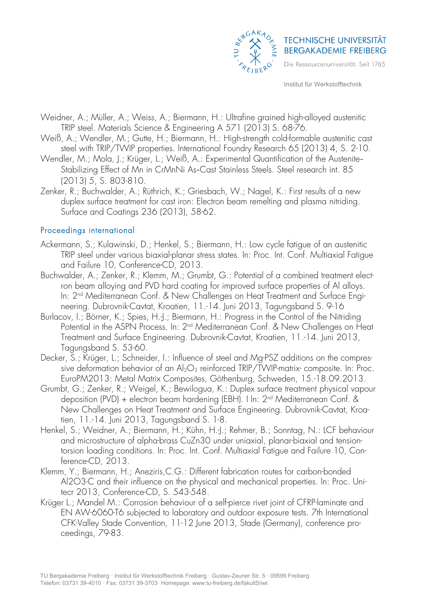

- Weidner, A.; Müller, A.; Weiss, A.; Biermann, H.: Ultrafine grained high-alloyed austenitic TRIP steel. Materials Science & Engineering A 571 (2013) S. 68-76.
- Weiß, A.; Wendler, M.; Gutte, H.; Biermann, H.: High-strength cold-formable austenitic cast steel with TRIP/TWIP properties. International Foundry Research 65 (2013) 4, S. 2-10.
- Wendler, M.; Mola, J.; Krüger, L.; Weiß, A.: Experimental Quantification of the Austenite-Stabilizing Effect of Mn in CrMnNi As-Cast Stainless Steels. Steel research int. 85 (2013) 5, S. 803-810.
- Zenker, R.; Buchwalder, A.; Rüthrich, K.; Griesbach, W.; Nagel, K.: First results of a new duplex surface treatment for cast iron: Electron beam remelting and plasma nitriding. Surface and Coatings 236 (2013), 58-62.

#### Proceedings international

- Ackermann, S.; Kulawinski, D.; Henkel, S.; Biermann, H.: Low cycle fatigue of an austenitic TRIP steel under various biaxial-planar stress states. In: Proc. Int. Conf. Multiaxial Fatigue and Failure 10, Conference-CD, 2013.
- Buchwalder, A.; Zenker, R.; Klemm, M.; Grumbt, G.: Potential of a combined treatment electron beam alloying and PVD hard coating for improved surface properties of Al alloys. In: 2nd Mediterranean Conf. & New Challenges on Heat Treatment and Surface Engineering. Dubrovnik-Cavtat, Kroatien, 11.-14. Juni 2013, Tagungsband S. 9-16
- Burlacov, I.; Börner, K.; Spies, H.-J.; Biermann, H.: Progress in the Control of the Nitriding Potential in the ASPN Process. In: 2<sup>nd</sup> Mediterranean Conf. & New Challenges on Heat Treatment and Surface Engineering. Dubrovnik-Cavtat, Kroatien, 11.-14. Juni 2013, Tagungsband S. 53-60.
- Decker, S.; Krüger, L.; Schneider, I.: Influence of steel and Mg-PSZ additions on the compressive deformation behavior of an  $Al_2O_3$  reinforced TRIP/TWIP-matrix-composite. In: Proc. EuroPM2013: Metal Matrix Composites, Göthenburg, Schweden, 15.-18.09.2013.
- Grumbt, G.; Zenker, R.; Weigel, K.; Bewilogua, K.: Duplex surface treatment physical vapour deposition (PVD) + electron beam hardening (EBH). I In: 2nd Mediterranean Conf. & New Challenges on Heat Treatment and Surface Engineering. Dubrovnik-Cavtat, Kroatien, 11.-14. Juni 2013, Tagungsband S. 1-8.
- Henkel, S.; Weidner, A.; Biermann, H.; Kühn, H.-J.; Rehmer, B.; Sonntag, N.: LCF behaviour and microstructure of alpha-brass CuZn30 under uniaxial, planar-biaxial and tensiontorsion loading conditions. In: Proc. Int. Conf. Multiaxial Fatigue and Failure 10, Conference-CD, 2013.
- Klemm, Y.; Biermann, H.; Aneziris,C.G.: Different fabrication routes for carbon-bonded Al2O3-C and their influence on the physical and mechanical properties. In: Proc. Unitecr 2013, Conference-CD, S. 543-548.
- Krüger L.; Mandel M.: Corrosion behaviour of a self-pierce rivet joint of CFRP-laminate and EN AW-6060-T6 subjected to laboratory and outdoor exposure tests. 7th International CFK-Valley Stade Convention, 11-12 June 2013, Stade (Germany), conference proceedings, 79-83.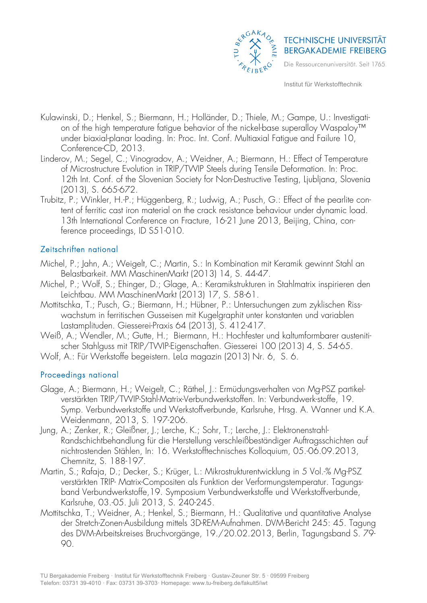

- Kulawinski, D.; Henkel, S.; Biermann, H.; Holländer, D.; Thiele, M.; Gampe, U.: Investigation of the high temperature fatigue behavior of the nickel-base superalloy Waspaloy™ under biaxial-planar loading. In: Proc. Int. Conf. Multiaxial Fatigue and Failure 10, Conference-CD, 2013.
- Linderov, M.; Segel, C.; Vinogradov, A.; Weidner, A.; Biermann, H.: Effect of Temperature of Microstructure Evolution in TRIP/TWIP Steels during Tensile Deformation. In: Proc. 12th Int. Conf. of the Slovenian Society for Non-Destructive Testing, Ljubljana, Slovenia (2013), S. 665-672.
- Trubitz, P.; Winkler, H.-P.; Hüggenberg, R.; Ludwig, A.; Pusch, G.: Effect of the pearlite content of ferritic cast iron material on the crack resistance behaviour under dynamic load. 13th International Conference on Fracture, 16-21 June 2013, Beijing, China, conference proceedings, ID S51-010.

## Zeitschriften national

- Michel, P.; Jahn, A.; Weigelt, C.; Martin, S.: In Kombination mit Keramik gewinnt Stahl an Belastbarkeit. MM MaschinenMarkt (2013) 14, S. 44-47.
- Michel, P.; Wolf, S.; Ehinger, D.; Glage, A.: Keramikstrukturen in Stahlmatrix inspirieren den Leichtbau. MM MaschinenMarkt (2013) 17, S. 58-61.
- Mottitschka, T.; Pusch, G.; Biermann, H.; Hübner, P.: Untersuchungen zum zyklischen Risswachstum in ferritischen Gusseisen mit Kugelgraphit unter konstanten und variablen Lastamplituden. Giesserei-Praxis 64 (2013), S. 412-417.
- Weiß, A.; Wendler, M.; Gutte, H.; Biermann, H.: Hochfester und kaltumformbarer austenitischer Stahlguss mit TRIP/TWIP-Eigenschaften. Giesserei 100 (2013) 4, S. 54-65.
- Wolf, A.: Für Werkstoffe begeistern. LeLa magazin (2013) Nr. 6, S. 6.

## Proceedings national

- Glage, A.; Biermann, H.; Weigelt, C.; Räthel, J.: Ermüdungsverhalten von Mg-PSZ partikelverstärkten TRIP/TWIP-Stahl-Matrix-Verbundwerkstoffen. In: Verbundwerk-stoffe, 19. Symp. Verbundwerkstoffe und Werkstoffverbunde, Karlsruhe, Hrsg. A. Wanner und K.A. Weidenmann, 2013, S. 197-206.
- Jung, A.; Zenker, R.; Gleißner, J.; Lerche, K.; Sohr, T.; Lerche, J.: Elektronenstrahl-Randschichtbehandlung für die Herstellung verschleißbeständiger Auftragsschichten auf nichtrostenden Stählen, In: 16. Werkstofftechnisches Kolloquium, 05.-06.09.2013, Chemnitz, S. 188-197.
- Martin, S.; Rafaja, D.; Decker, S.; Krüger, L.: Mikrostrukturentwicklung in 5 Vol.-% Mg-PSZ verstärkten TRIP- Matrix-Compositen als Funktion der Verformungstemperatur. Tagungsband Verbundwerkstoffe,19. Symposium Verbundwerkstoffe und Werkstoffverbunde, Karlsruhe, 03.-05. Juli 2013, S. 240-245.
- Mottitschka, T.; Weidner, A.; Henkel, S.; Biermann, H.: Qualitative und quantitative Analyse der Stretch-Zonen-Ausbildung mittels 3D-REM-Aufnahmen. DVM-Bericht 245: 45. Tagung des DVM-Arbeitskreises Bruchvorgänge, 19./20.02.2013, Berlin, Tagungsband S. 79- 90.